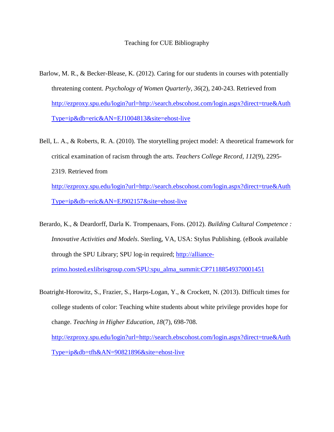## Teaching for CUE Bibliography

- Barlow, M. R., & Becker-Blease, K. (2012). Caring for our students in courses with potentially threatening content. *Psychology of Women Quarterly, 36*(2), 240-243. Retrieved from [http://ezproxy.spu.edu/login?url=http://search.ebscohost.com/login.aspx?direct=true&Auth](http://ezproxy.spu.edu/login?url=http://search.ebscohost.com/login.aspx?direct=true&AuthType=ip&db=eric&AN=EJ1004813&site=ehost-live) [Type=ip&db=eric&AN=EJ1004813&site=ehost-live](http://ezproxy.spu.edu/login?url=http://search.ebscohost.com/login.aspx?direct=true&AuthType=ip&db=eric&AN=EJ1004813&site=ehost-live)
- Bell, L. A., & Roberts, R. A. (2010). The storytelling project model: A theoretical framework for critical examination of racism through the arts. *Teachers College Record, 112*(9), 2295- 2319. Retrieved from [http://ezproxy.spu.edu/login?url=http://search.ebscohost.com/login.aspx?direct=true&Auth](http://ezproxy.spu.edu/login?url=http://search.ebscohost.com/login.aspx?direct=true&AuthType=ip&db=eric&AN=EJ902157&site=ehost-live) [Type=ip&db=eric&AN=EJ902157&site=ehost-live](http://ezproxy.spu.edu/login?url=http://search.ebscohost.com/login.aspx?direct=true&AuthType=ip&db=eric&AN=EJ902157&site=ehost-live)

Berardo, K., & Deardorff, Darla K. Trompenaars, Fons. (2012). *Building Cultural Competence : Innovative Activities and Models*. Sterling, VA, USA: Stylus Publishing. (eBook available through the SPU Library; SPU log-in required; [http://alliance](http://alliance-primo.hosted.exlibrisgroup.com/SPU:spu_alma_summit:CP71188549370001451)[primo.hosted.exlibrisgroup.com/SPU:spu\\_alma\\_summit:CP71188549370001451](http://alliance-primo.hosted.exlibrisgroup.com/SPU:spu_alma_summit:CP71188549370001451)

Boatright-Horowitz, S., Frazier, S., Harps-Logan, Y., & Crockett, N. (2013). Difficult times for college students of color: Teaching white students about white privilege provides hope for change. *Teaching in Higher Education, 18*(7), 698-708. [http://ezproxy.spu.edu/login?url=http://search.ebscohost.com/login.aspx?direct=true&Auth](http://ezproxy.spu.edu/login?url=http://search.ebscohost.com/login.aspx?direct=true&AuthType=ip&db=tfh&AN=90821896&site=ehost-live) [Type=ip&db=tfh&AN=90821896&site=ehost-live](http://ezproxy.spu.edu/login?url=http://search.ebscohost.com/login.aspx?direct=true&AuthType=ip&db=tfh&AN=90821896&site=ehost-live)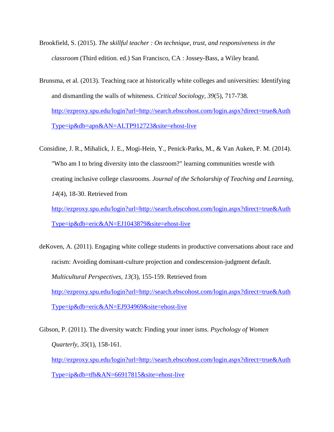- Brookfield, S. (2015). *The skillful teacher : On technique, trust, and responsiveness in the classroom* (Third edition. ed.) San Francisco, CA : Jossey-Bass, a Wiley brand.
- Brunsma, et al. (2013). Teaching race at historically white colleges and universities: Identifying and dismantling the walls of whiteness. *Critical Sociology, 39*(5), 717-738. [http://ezproxy.spu.edu/login?url=http://search.ebscohost.com/login.aspx?direct=true&Auth](http://ezproxy.spu.edu/login?url=http://search.ebscohost.com/login.aspx?direct=true&AuthType=ip&db=apn&AN=ALTP912723&site=ehost-live) [Type=ip&db=apn&AN=ALTP912723&site=ehost-live](http://ezproxy.spu.edu/login?url=http://search.ebscohost.com/login.aspx?direct=true&AuthType=ip&db=apn&AN=ALTP912723&site=ehost-live)
- Considine, J. R., Mihalick, J. E., Mogi-Hein, Y., Penick-Parks, M., & Van Auken, P. M. (2014). "Who am I to bring diversity into the classroom?" learning communities wrestle with creating inclusive college classrooms. *Journal of the Scholarship of Teaching and Learning, 14*(4), 18-30. Retrieved from

[http://ezproxy.spu.edu/login?url=http://search.ebscohost.com/login.aspx?direct=true&Auth](http://ezproxy.spu.edu/login?url=http://search.ebscohost.com/login.aspx?direct=true&AuthType=ip&db=eric&AN=EJ1043879&site=ehost-live) [Type=ip&db=eric&AN=EJ1043879&site=ehost-live](http://ezproxy.spu.edu/login?url=http://search.ebscohost.com/login.aspx?direct=true&AuthType=ip&db=eric&AN=EJ1043879&site=ehost-live)

- deKoven, A. (2011). Engaging white college students in productive conversations about race and racism: Avoiding dominant-culture projection and condescension-judgment default. *Multicultural Perspectives, 13*(3), 155-159. Retrieved from [http://ezproxy.spu.edu/login?url=http://search.ebscohost.com/login.aspx?direct=true&Auth](http://ezproxy.spu.edu/login?url=http://search.ebscohost.com/login.aspx?direct=true&AuthType=ip&db=eric&AN=EJ934969&site=ehost-live) [Type=ip&db=eric&AN=EJ934969&site=ehost-live](http://ezproxy.spu.edu/login?url=http://search.ebscohost.com/login.aspx?direct=true&AuthType=ip&db=eric&AN=EJ934969&site=ehost-live)
- Gibson, P. (2011). The diversity watch: Finding your inner isms. *Psychology of Women Quarterly, 35*(1), 158-161. [http://ezproxy.spu.edu/login?url=http://search.ebscohost.com/login.aspx?direct=true&Auth](http://ezproxy.spu.edu/login?url=http://search.ebscohost.com/login.aspx?direct=true&AuthType=ip&db=tfh&AN=66917815&site=ehost-live)

[Type=ip&db=tfh&AN=66917815&site=ehost-live](http://ezproxy.spu.edu/login?url=http://search.ebscohost.com/login.aspx?direct=true&AuthType=ip&db=tfh&AN=66917815&site=ehost-live)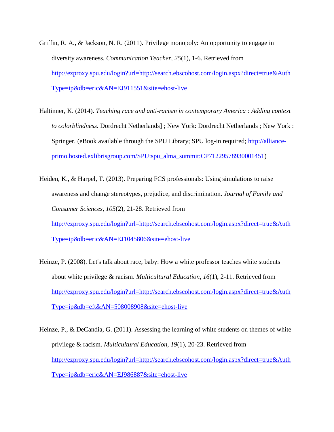- Griffin, R. A., & Jackson, N. R. (2011). Privilege monopoly: An opportunity to engage in diversity awareness. *Communication Teacher, 25*(1), 1-6. Retrieved from [http://ezproxy.spu.edu/login?url=http://search.ebscohost.com/login.aspx?direct=true&Auth](http://ezproxy.spu.edu/login?url=http://search.ebscohost.com/login.aspx?direct=true&AuthType=ip&db=eric&AN=EJ911551&site=ehost-live) [Type=ip&db=eric&AN=EJ911551&site=ehost-live](http://ezproxy.spu.edu/login?url=http://search.ebscohost.com/login.aspx?direct=true&AuthType=ip&db=eric&AN=EJ911551&site=ehost-live)
- Haltinner, K. (2014). *Teaching race and anti-racism in contemporary America : Adding context to colorblindness*. Dordrecht Netherlands] ; New York: Dordrecht Netherlands ; New York : Springer. (eBook available through the SPU Library; SPU log-in required; [http://alliance](http://alliance-primo.hosted.exlibrisgroup.com/SPU:spu_alma_summit:CP71229578930001451)[primo.hosted.exlibrisgroup.com/SPU:spu\\_alma\\_summit:CP71229578930001451\)](http://alliance-primo.hosted.exlibrisgroup.com/SPU:spu_alma_summit:CP71229578930001451)
- Heiden, K., & Harpel, T. (2013). Preparing FCS professionals: Using simulations to raise awareness and change stereotypes, prejudice, and discrimination. *Journal of Family and Consumer Sciences, 105*(2), 21-28. Retrieved from [http://ezproxy.spu.edu/login?url=http://search.ebscohost.com/login.aspx?direct=true&Auth](http://ezproxy.spu.edu/login?url=http://search.ebscohost.com/login.aspx?direct=true&AuthType=ip&db=eric&AN=EJ1045806&site=ehost-live) [Type=ip&db=eric&AN=EJ1045806&site=ehost-live](http://ezproxy.spu.edu/login?url=http://search.ebscohost.com/login.aspx?direct=true&AuthType=ip&db=eric&AN=EJ1045806&site=ehost-live)
- Heinze, P. (2008). Let's talk about race, baby: How a white professor teaches white students about white privilege & racism. *Multicultural Education, 16*(1), 2-11. Retrieved from [http://ezproxy.spu.edu/login?url=http://search.ebscohost.com/login.aspx?direct=true&Auth](http://ezproxy.spu.edu/login?url=http://search.ebscohost.com/login.aspx?direct=true&AuthType=ip&db=eft&AN=508008908&site=ehost-live) [Type=ip&db=eft&AN=508008908&site=ehost-live](http://ezproxy.spu.edu/login?url=http://search.ebscohost.com/login.aspx?direct=true&AuthType=ip&db=eft&AN=508008908&site=ehost-live)
- Heinze, P., & DeCandia, G. (2011). Assessing the learning of white students on themes of white privilege & racism. *Multicultural Education, 19*(1), 20-23. Retrieved from [http://ezproxy.spu.edu/login?url=http://search.ebscohost.com/login.aspx?direct=true&Auth](http://ezproxy.spu.edu/login?url=http://search.ebscohost.com/login.aspx?direct=true&AuthType=ip&db=eric&AN=EJ986887&site=ehost-live) [Type=ip&db=eric&AN=EJ986887&site=ehost-live](http://ezproxy.spu.edu/login?url=http://search.ebscohost.com/login.aspx?direct=true&AuthType=ip&db=eric&AN=EJ986887&site=ehost-live)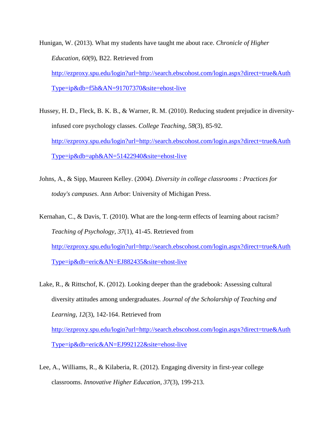Hunigan, W. (2013). What my students have taught me about race. *Chronicle of Higher Education, 60*(9), B22. Retrieved from [http://ezproxy.spu.edu/login?url=http://search.ebscohost.com/login.aspx?direct=true&Auth](http://ezproxy.spu.edu/login?url=http://search.ebscohost.com/login.aspx?direct=true&AuthType=ip&db=f5h&AN=91707370&site=ehost-live) [Type=ip&db=f5h&AN=91707370&site=ehost-live](http://ezproxy.spu.edu/login?url=http://search.ebscohost.com/login.aspx?direct=true&AuthType=ip&db=f5h&AN=91707370&site=ehost-live)

- Hussey, H. D., Fleck, B. K. B., & Warner, R. M. (2010). Reducing student prejudice in diversityinfused core psychology classes. *College Teaching, 58*(3), 85-92. [http://ezproxy.spu.edu/login?url=http://search.ebscohost.com/login.aspx?direct=true&Auth](http://ezproxy.spu.edu/login?url=http://search.ebscohost.com/login.aspx?direct=true&AuthType=ip&db=aph&AN=51422940&site=ehost-live) [Type=ip&db=aph&AN=51422940&site=ehost-live](http://ezproxy.spu.edu/login?url=http://search.ebscohost.com/login.aspx?direct=true&AuthType=ip&db=aph&AN=51422940&site=ehost-live)
- Johns, A., & Sipp, Maureen Kelley. (2004). *Diversity in college classrooms : Practices for today's campuses*. Ann Arbor: University of Michigan Press.

Kernahan, C., & Davis, T. (2010). What are the long-term effects of learning about racism? *Teaching of Psychology, 37*(1), 41-45. Retrieved from [http://ezproxy.spu.edu/login?url=http://search.ebscohost.com/login.aspx?direct=true&Auth](http://ezproxy.spu.edu/login?url=http://search.ebscohost.com/login.aspx?direct=true&AuthType=ip&db=eric&AN=EJ882435&site=ehost-live) [Type=ip&db=eric&AN=EJ882435&site=ehost-live](http://ezproxy.spu.edu/login?url=http://search.ebscohost.com/login.aspx?direct=true&AuthType=ip&db=eric&AN=EJ882435&site=ehost-live)

- Lake, R., & Rittschof, K. (2012). Looking deeper than the gradebook: Assessing cultural diversity attitudes among undergraduates. *Journal of the Scholarship of Teaching and Learning, 12*(3), 142-164. Retrieved from [http://ezproxy.spu.edu/login?url=http://search.ebscohost.com/login.aspx?direct=true&Auth](http://ezproxy.spu.edu/login?url=http://search.ebscohost.com/login.aspx?direct=true&AuthType=ip&db=eric&AN=EJ992122&site=ehost-live) [Type=ip&db=eric&AN=EJ992122&site=ehost-live](http://ezproxy.spu.edu/login?url=http://search.ebscohost.com/login.aspx?direct=true&AuthType=ip&db=eric&AN=EJ992122&site=ehost-live)
- Lee, A., Williams, R., & Kilaberia, R. (2012). Engaging diversity in first-year college classrooms. *Innovative Higher Education, 37*(3), 199-213.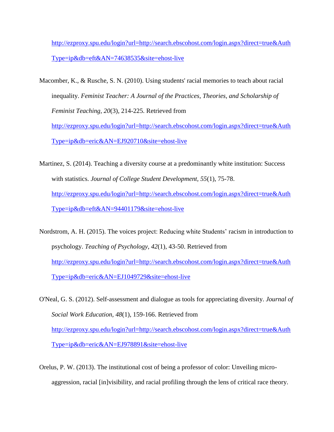[http://ezproxy.spu.edu/login?url=http://search.ebscohost.com/login.aspx?direct=true&Auth](http://ezproxy.spu.edu/login?url=http://search.ebscohost.com/login.aspx?direct=true&AuthType=ip&db=eft&AN=74638535&site=ehost-live) [Type=ip&db=eft&AN=74638535&site=ehost-live](http://ezproxy.spu.edu/login?url=http://search.ebscohost.com/login.aspx?direct=true&AuthType=ip&db=eft&AN=74638535&site=ehost-live)

- Macomber, K., & Rusche, S. N. (2010). Using students' racial memories to teach about racial inequality. *Feminist Teacher: A Journal of the Practices, Theories, and Scholarship of Feminist Teaching, 20*(3), 214-225. Retrieved from [http://ezproxy.spu.edu/login?url=http://search.ebscohost.com/login.aspx?direct=true&Auth](http://ezproxy.spu.edu/login?url=http://search.ebscohost.com/login.aspx?direct=true&AuthType=ip&db=eric&AN=EJ920710&site=ehost-live) [Type=ip&db=eric&AN=EJ920710&site=ehost-live](http://ezproxy.spu.edu/login?url=http://search.ebscohost.com/login.aspx?direct=true&AuthType=ip&db=eric&AN=EJ920710&site=ehost-live)
- Martinez, S. (2014). Teaching a diversity course at a predominantly white institution: Success with statistics. *Journal of College Student Development, 55*(1), 75-78. [http://ezproxy.spu.edu/login?url=http://search.ebscohost.com/login.aspx?direct=true&Auth](http://ezproxy.spu.edu/login?url=http://search.ebscohost.com/login.aspx?direct=true&AuthType=ip&db=eft&AN=94401179&site=ehost-live) [Type=ip&db=eft&AN=94401179&site=ehost-live](http://ezproxy.spu.edu/login?url=http://search.ebscohost.com/login.aspx?direct=true&AuthType=ip&db=eft&AN=94401179&site=ehost-live)
- Nordstrom, A. H. (2015). The voices project: Reducing white Students' racism in introduction to psychology. *Teaching of Psychology, 42*(1), 43-50. Retrieved from [http://ezproxy.spu.edu/login?url=http://search.ebscohost.com/login.aspx?direct=true&Auth](http://ezproxy.spu.edu/login?url=http://search.ebscohost.com/login.aspx?direct=true&AuthType=ip&db=eric&AN=EJ1049729&site=ehost-live) [Type=ip&db=eric&AN=EJ1049729&site=ehost-live](http://ezproxy.spu.edu/login?url=http://search.ebscohost.com/login.aspx?direct=true&AuthType=ip&db=eric&AN=EJ1049729&site=ehost-live)
- O'Neal, G. S. (2012). Self-assessment and dialogue as tools for appreciating diversity. *Journal of Social Work Education, 48*(1), 159-166. Retrieved from [http://ezproxy.spu.edu/login?url=http://search.ebscohost.com/login.aspx?direct=true&Auth](http://ezproxy.spu.edu/login?url=http://search.ebscohost.com/login.aspx?direct=true&AuthType=ip&db=eric&AN=EJ978891&site=ehost-live) [Type=ip&db=eric&AN=EJ978891&site=ehost-live](http://ezproxy.spu.edu/login?url=http://search.ebscohost.com/login.aspx?direct=true&AuthType=ip&db=eric&AN=EJ978891&site=ehost-live)
- Orelus, P. W. (2013). The institutional cost of being a professor of color: Unveiling microaggression, racial [in]visibility, and racial profiling through the lens of critical race theory.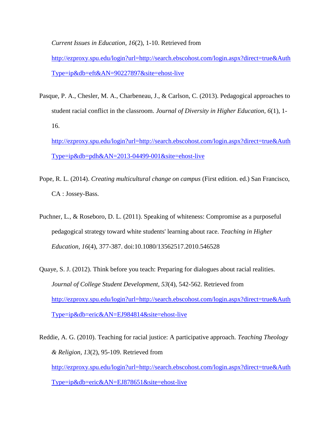*Current Issues in Education, 16*(2), 1-10. Retrieved from

[http://ezproxy.spu.edu/login?url=http://search.ebscohost.com/login.aspx?direct=true&Auth](http://ezproxy.spu.edu/login?url=http://search.ebscohost.com/login.aspx?direct=true&AuthType=ip&db=eft&AN=90227897&site=ehost-live) [Type=ip&db=eft&AN=90227897&site=ehost-live](http://ezproxy.spu.edu/login?url=http://search.ebscohost.com/login.aspx?direct=true&AuthType=ip&db=eft&AN=90227897&site=ehost-live)

Pasque, P. A., Chesler, M. A., Charbeneau, J., & Carlson, C. (2013). Pedagogical approaches to student racial conflict in the classroom. *Journal of Diversity in Higher Education, 6*(1), 1- 16. [http://ezproxy.spu.edu/login?url=http://search.ebscohost.com/login.aspx?direct=true&Auth](http://ezproxy.spu.edu/login?url=http://search.ebscohost.com/login.aspx?direct=true&AuthType=ip&db=pdh&AN=2013-04499-001&site=ehost-live)

 $Type=ip\&db=pdh\&AN=2013-04499-001\&site=ehost-like$ 

- Pope, R. L. (2014). *Creating multicultural change on campus* (First edition. ed.) San Francisco, CA : Jossey-Bass.
- Puchner, L., & Roseboro, D. L. (2011). Speaking of whiteness: Compromise as a purposeful pedagogical strategy toward white students' learning about race. *Teaching in Higher Education, 16*(4), 377-387. doi:10.1080/13562517.2010.546528
- Quaye, S. J. (2012). Think before you teach: Preparing for dialogues about racial realities. *Journal of College Student Development, 53*(4), 542-562. Retrieved from [http://ezproxy.spu.edu/login?url=http://search.ebscohost.com/login.aspx?direct=true&Auth](http://ezproxy.spu.edu/login?url=http://search.ebscohost.com/login.aspx?direct=true&AuthType=ip&db=eric&AN=EJ984814&site=ehost-live) [Type=ip&db=eric&AN=EJ984814&site=ehost-live](http://ezproxy.spu.edu/login?url=http://search.ebscohost.com/login.aspx?direct=true&AuthType=ip&db=eric&AN=EJ984814&site=ehost-live)

Reddie, A. G. (2010). Teaching for racial justice: A participative approach. *Teaching Theology & Religion, 13*(2), 95-109. Retrieved from [http://ezproxy.spu.edu/login?url=http://search.ebscohost.com/login.aspx?direct=true&Auth](http://ezproxy.spu.edu/login?url=http://search.ebscohost.com/login.aspx?direct=true&AuthType=ip&db=eric&AN=EJ878651&site=ehost-live) [Type=ip&db=eric&AN=EJ878651&site=ehost-live](http://ezproxy.spu.edu/login?url=http://search.ebscohost.com/login.aspx?direct=true&AuthType=ip&db=eric&AN=EJ878651&site=ehost-live)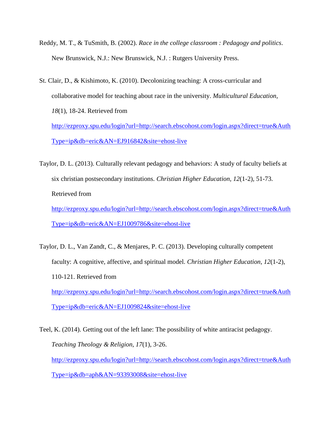- Reddy, M. T., & TuSmith, B. (2002). *Race in the college classroom : Pedagogy and politics*. New Brunswick, N.J.: New Brunswick, N.J. : Rutgers University Press.
- St. Clair, D., & Kishimoto, K. (2010). Decolonizing teaching: A cross-curricular and collaborative model for teaching about race in the university. *Multicultural Education, 18*(1), 18-24. Retrieved from [http://ezproxy.spu.edu/login?url=http://search.ebscohost.com/login.aspx?direct=true&Auth](http://ezproxy.spu.edu/login?url=http://search.ebscohost.com/login.aspx?direct=true&AuthType=ip&db=eric&AN=EJ916842&site=ehost-live) [Type=ip&db=eric&AN=EJ916842&site=ehost-live](http://ezproxy.spu.edu/login?url=http://search.ebscohost.com/login.aspx?direct=true&AuthType=ip&db=eric&AN=EJ916842&site=ehost-live)
- Taylor, D. L. (2013). Culturally relevant pedagogy and behaviors: A study of faculty beliefs at six christian postsecondary institutions. *Christian Higher Education, 12*(1-2), 51-73. Retrieved from

[http://ezproxy.spu.edu/login?url=http://search.ebscohost.com/login.aspx?direct=true&Auth](http://ezproxy.spu.edu/login?url=http://search.ebscohost.com/login.aspx?direct=true&AuthType=ip&db=eric&AN=EJ1009786&site=ehost-live) [Type=ip&db=eric&AN=EJ1009786&site=ehost-live](http://ezproxy.spu.edu/login?url=http://search.ebscohost.com/login.aspx?direct=true&AuthType=ip&db=eric&AN=EJ1009786&site=ehost-live)

- Taylor, D. L., Van Zandt, C., & Menjares, P. C. (2013). Developing culturally competent faculty: A cognitive, affective, and spiritual model. *Christian Higher Education, 12*(1-2), 110-121. Retrieved from [http://ezproxy.spu.edu/login?url=http://search.ebscohost.com/login.aspx?direct=true&Auth](http://ezproxy.spu.edu/login?url=http://search.ebscohost.com/login.aspx?direct=true&AuthType=ip&db=eric&AN=EJ1009824&site=ehost-live) [Type=ip&db=eric&AN=EJ1009824&site=ehost-live](http://ezproxy.spu.edu/login?url=http://search.ebscohost.com/login.aspx?direct=true&AuthType=ip&db=eric&AN=EJ1009824&site=ehost-live)
- Teel, K. (2014). Getting out of the left lane: The possibility of white antiracist pedagogy. *Teaching Theology & Religion, 17*(1), 3-26. [http://ezproxy.spu.edu/login?url=http://search.ebscohost.com/login.aspx?direct=true&Auth](http://ezproxy.spu.edu/login?url=http://search.ebscohost.com/login.aspx?direct=true&AuthType=ip&db=aph&AN=93393008&site=ehost-live) [Type=ip&db=aph&AN=93393008&site=ehost-live](http://ezproxy.spu.edu/login?url=http://search.ebscohost.com/login.aspx?direct=true&AuthType=ip&db=aph&AN=93393008&site=ehost-live)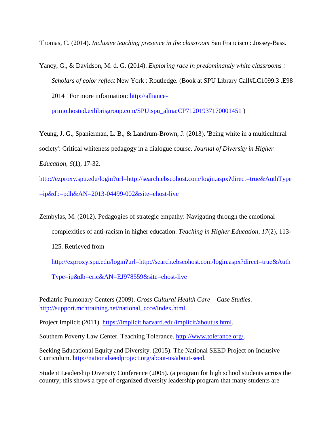Thomas, C. (2014). *Inclusive teaching presence in the classroom* San Francisco : Jossey-Bass.

Yancy, G., & Davidson, M. d. G. (2014). *Exploring race in predominantly white classrooms : Scholars of color reflect* New York : Routledge. (Book at SPU Library Call#LC1099.3 .E98 2014 For more information: [http://alliance-](http://alliance-primo.hosted.exlibrisgroup.com/SPU:spu_alma:CP71201937170001451)

[primo.hosted.exlibrisgroup.com/SPU:spu\\_alma:CP71201937170001451](http://alliance-primo.hosted.exlibrisgroup.com/SPU:spu_alma:CP71201937170001451) )

Yeung, J. G., Spanierman, L. B., & Landrum-Brown, J. (2013). 'Being white in a multicultural society': Critical whiteness pedagogy in a dialogue course. *Journal of Diversity in Higher Education, 6*(1), 17-32.

[http://ezproxy.spu.edu/login?url=http://search.ebscohost.com/login.aspx?direct=true&AuthType](http://ezproxy.spu.edu/login?url=http://search.ebscohost.com/login.aspx?direct=true&AuthType=ip&db=pdh&AN=2013-04499-002&site=ehost-live)  $=p\&db=pdh&AN=2013-04499-002&site=ehost-live$ 

Zembylas, M. (2012). Pedagogies of strategic empathy: Navigating through the emotional complexities of anti-racism in higher education. *Teaching in Higher Education, 17*(2), 113-

125. Retrieved from

[http://ezproxy.spu.edu/login?url=http://search.ebscohost.com/login.aspx?direct=true&Auth](http://ezproxy.spu.edu/login?url=http://search.ebscohost.com/login.aspx?direct=true&AuthType=ip&db=eric&AN=EJ978559&site=ehost-live)

[Type=ip&db=eric&AN=EJ978559&site=ehost-live](http://ezproxy.spu.edu/login?url=http://search.ebscohost.com/login.aspx?direct=true&AuthType=ip&db=eric&AN=EJ978559&site=ehost-live)

Pediatric Pulmonary Centers (2009). *Cross Cultural Health Care – Case Studies*. [http://support.mchtraining.net/national\\_ccce/index.html.](http://support.mchtraining.net/national_ccce/index.html)

Project Implicit (2011). [https://implicit.harvard.edu/implicit/aboutus.html.](https://implicit.harvard.edu/implicit/aboutus.html)

Southern Poverty Law Center. Teaching Tolerance. [http://www.tolerance.org/.](http://www.tolerance.org/)

Seeking Educational Equity and Diversity. (2015). The National SEED Project on Inclusive Curriculum. [http://nationalseedproject.org/about-us/about-seed.](http://nationalseedproject.org/about-us/about-seed)

Student Leadership Diversity Conference (2005). (a program for high school students across the country; this shows a type of organized diversity leadership program that many students are